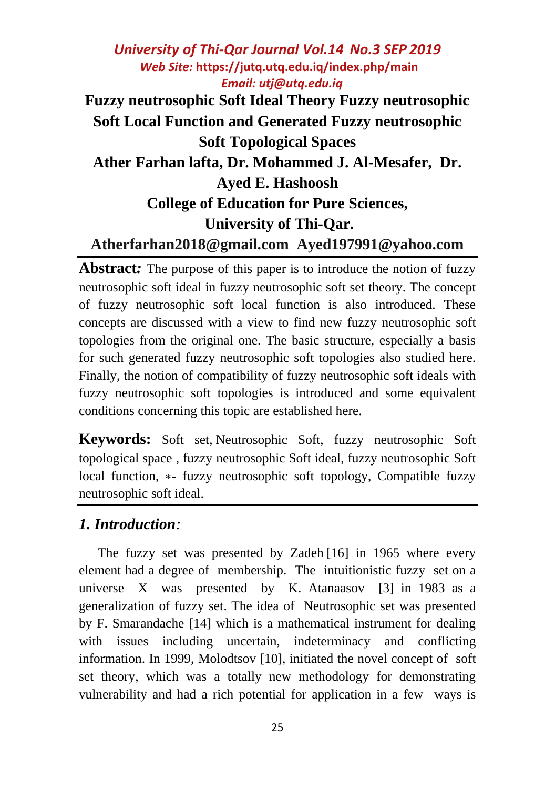# *University of Thi-Qar Journal Vol.14 No.3 SEP 2019 Web Site:* **<https://jutq.utq.edu.iq/index.php/main>**  *Email: utj@utq.edu.iq* **Fuzzy neutrosophic Soft Ideal Theory Fuzzy neutrosophic Soft Local Function and Generated Fuzzy neutrosophic Soft Topological Spaces**

**Ather Farhan lafta, Dr. Mohammed J. Al-Mesafer, Dr. Ayed E. Hashoosh**

# **College of Education for Pure Sciences,**

## **University of Thi-Qar.**

### **[Atherfarhan2018@gmail.com](mailto:Atherfarhan2018@gmail.com) [Ayed197991@yahoo.com](mailto:Ayed197991@yahoo.com)**

**Abstract:** The purpose of this paper is to introduce the notion of fuzzy neutrosophic soft ideal in fuzzy neutrosophic soft set theory. The concept of fuzzy neutrosophic soft local function is also introduced. These concepts are discussed with a view to find new fuzzy neutrosophic soft topologies from the original one. The basic structure, especially a basis for such generated fuzzy neutrosophic soft topologies also studied here. Finally, the notion of compatibility of fuzzy neutrosophic soft ideals with fuzzy neutrosophic soft topologies is introduced and some equivalent conditions concerning this topic are established here.

**Keywords:** Soft set, Neutrosophic Soft, fuzzy neutrosophic Soft topological space , fuzzy neutrosophic Soft ideal, fuzzy neutrosophic Soft local function, ∗- fuzzy neutrosophic soft topology, Compatible fuzzy neutrosophic soft ideal.

#### *1. Introduction:*

The fuzzy set was presented by Zadeh [16] in 1965 where every element had a degree of membership. The intuitionistic fuzzy set on a universe X was presented by K. Atanaasov [3] in 1983 as a generalization of fuzzy set. The idea of Neutrosophic set was presented by F. Smarandache [14] which is a mathematical instrument for dealing with issues including uncertain, indeterminacy and conflicting information. In 1999, Molodtsov [10], initiated the novel concept of soft set theory, which was a totally new methodology for demonstrating vulnerability and had a rich potential for application in a few ways is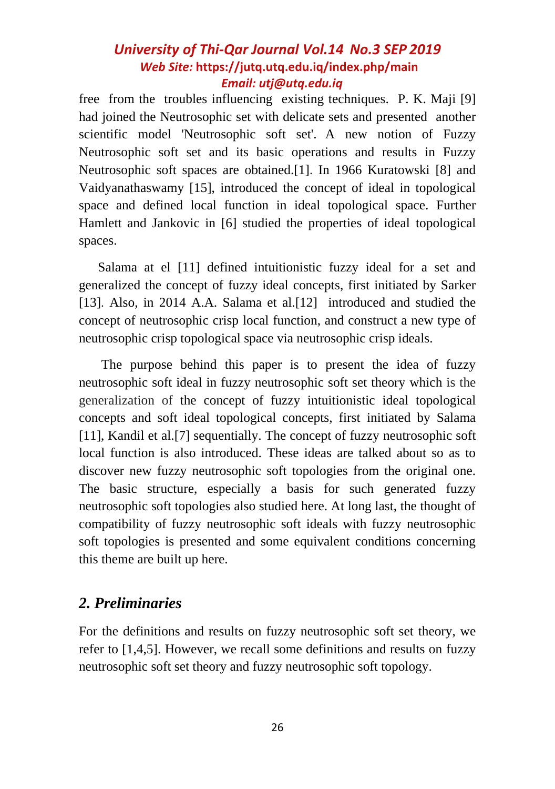free from the troubles influencing existing techniques. P. K. Maji [9] had joined the Neutrosophic set with delicate sets and presented another scientific model 'Neutrosophic soft set'. A new notion of Fuzzy Neutrosophic soft set and its basic operations and results in Fuzzy Neutrosophic soft spaces are obtained.[1]. In 1966 Kuratowski [8] and Vaidyanathaswamy [15], introduced the concept of ideal in topological space and defined local function in ideal topological space. Further Hamlett and Jankovic in [6] studied the properties of ideal topological spaces.

Salama at el [11] defined intuitionistic fuzzy ideal for a set and generalized the concept of fuzzy ideal concepts, first initiated by Sarker [13]. Also, in 2014 A.A. Salama et al. [12] introduced and studied the concept of neutrosophic crisp local function, and construct a new type of neutrosophic crisp topological space via neutrosophic crisp ideals.

The purpose behind this paper is to present the idea of fuzzy neutrosophic soft ideal in fuzzy neutrosophic soft set theory which is the generalization of the concept of fuzzy intuitionistic ideal topological concepts and soft ideal topological concepts, first initiated by Salama [11], Kandil et al.[7] sequentially. The concept of fuzzy neutrosophic soft local function is also introduced. These ideas are talked about so as to discover new fuzzy neutrosophic soft topologies from the original one. The basic structure, especially a basis for such generated fuzzy neutrosophic soft topologies also studied here. At long last, the thought of compatibility of fuzzy neutrosophic soft ideals with fuzzy neutrosophic soft topologies is presented and some equivalent conditions concerning this theme are built up here.

# *2. Preliminaries*

For the definitions and results on fuzzy neutrosophic soft set theory, we refer to [1,4,5]. However, we recall some definitions and results on fuzzy neutrosophic soft set theory and fuzzy neutrosophic soft topology.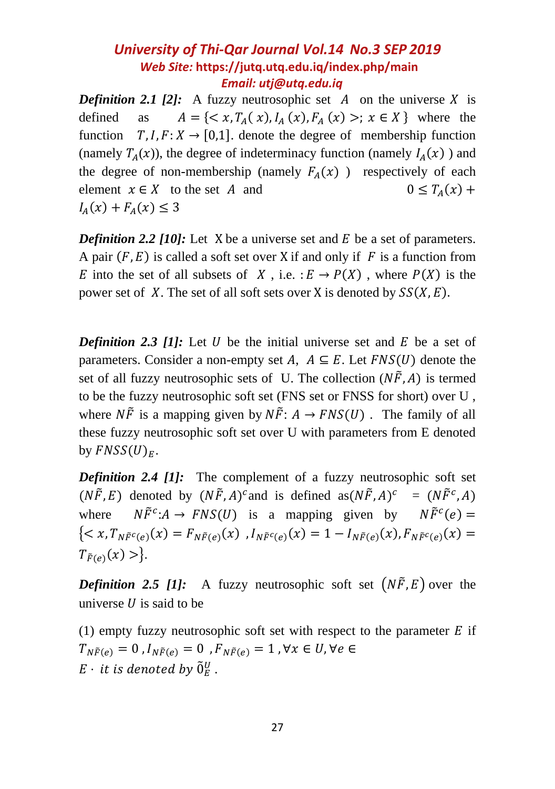*Definition 2.1 [2]:* A fuzzy neutrosophic set  $\overline{A}$  on the universe  $\overline{X}$  is defined as  $A = \{ \langle x, T_A(x), I_A(x), F_A(x) \rangle; x \in X \}$  where the function  $T, I, F: X \rightarrow [0,1]$ , denote the degree of membership function (namely  $T_A(x)$ ), the degree of indeterminacy function (namely  $I_A(x)$ ) and the degree of non-membership (namely  $F_4(x)$ ) respectively of each element  $x \in X$  to the set A and  $0 \le T_{4}(x) +$  $I_A(x) + F_A(x) \leq 3$ 

*Definition 2.2 [10]:* Let X be a universe set and  $E$  be a set of parameters. A pair  $(F, E)$  is called a soft set over X if and only if F is a function from E into the set of all subsets of X, i.e.  $:E \to P(X)$ , where  $P(X)$  is the power set of X. The set of all soft sets over X is denoted by  $SS(X, E)$ .

*Definition 2.3 [1]:* Let  $U$  be the initial universe set and  $E$  be a set of parameters. Consider a non-empty set A,  $A \subseteq E$ . Let  $FNS(U)$  denote the set of all fuzzy neutrosophic sets of U. The collection  $(N\tilde{F}, A)$  is termed to be the fuzzy neutrosophic soft set (FNS set or FNSS for short) over U , where  $N\tilde{F}$  is a mapping given by  $N\tilde{F}$ :  $A \rightarrow FNS(U)$ . The family of all these fuzzy neutrosophic soft set over U with parameters from E denoted by  $FNSS(U)<sub>E</sub>$ .

*Definition 2.4 [1]:* The complement of a fuzzy neutrosophic soft set  $(N\tilde{F}, E)$  denoted by  $(N\tilde{F}, A)^c$  and is defined as  $(N\tilde{F}, A)^c$  $= (N\tilde{F}^c, A)$ where : $A \rightarrow FNS(U)$  is a mapping given by  $N\tilde{F}^c(e) =$  ${ ,  $I_{N\tilde{F}^{c}(e)}(x) = 1 - I_{N\tilde{F}(e)}(x)$ ,  $F_{N\tilde{F}^{c}(e)}(x) =$$  $T_{\tilde{F}(e)}(x) >.$ 

*Definition 2.5 [1]:* A fuzzy neutrosophic soft set  $(N\tilde{F}, E)$  over the universe  $U$  is said to be

(1) empty fuzzy neutrosophic soft set with respect to the parameter  $E$  if  $T_{N\tilde{F}(e)} = 0$ ,  $I_{N\tilde{F}(e)} = 0$ ,  $F_{N\tilde{F}(e)} = 1$ ,  $\forall x \in U$ ,  $\forall e \in$ E  $\cdot$  it is denoted by  $\tilde{0}^U_E$  .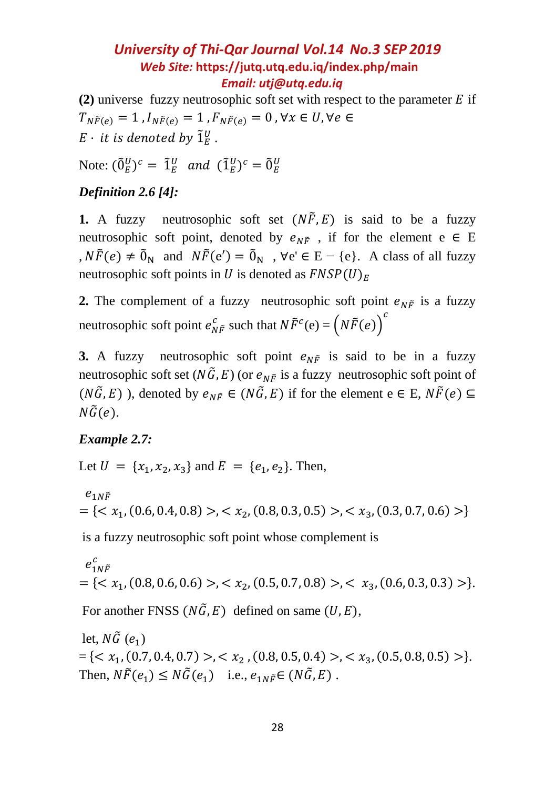(2) universe fuzzy neutrosophic soft set with respect to the parameter  $E$  if  $T_{N\widetilde{F}(e)} = 1$ ,  $I_{N\widetilde{F}(e)} = 1$ ,  $F_{N\widetilde{F}(e)} = 0$ ,  $\forall x \in U, \forall e \in$  $E\,\cdot\,$  it is denoted by  $\tilde{1}_E^U$  .

Note:  $(\tilde{0}_E^U)^c = \tilde{1}_E^U$  and  $(\tilde{1}_E^U)^c = \tilde{0}_E^U$ 

#### *Definition 2.6 [4]:*

**1.** A fuzzy neutrosophic soft set  $(N\tilde{F}, E)$  is said to be a fuzzy neutrosophic soft point, denoted by  $e_{N\tilde{F}}$ , if for the element e  $\in$  E ,  $N\tilde{F}(e) \neq \tilde{0}_N$  and  $N\tilde{F}(e') = \tilde{0}_N$ ,  $\forall e' \in E - \{e\}$ . A class of all fuzzy neutrosophic soft points in U is denoted as  $FNSP(U)_E$ 

**2.** The complement of a fuzzy neutrosophic soft point  $e_{N\tilde{F}}$  is a fuzzy neutrosophic soft point  $e_{N\tilde{F}}^c$  such that  $N\tilde{F}^c(e) = (N\tilde{F}(e))^c$ 

**3.** A fuzzy neutrosophic soft point  $e_{N}$  f is said to be in a fuzzy neutrosophic soft set ( $N\tilde{G}, E$ ) (or  $e_{N\tilde{F}}$  is a fuzzy neutrosophic soft point of  $(N\tilde{G}, E)$ ), denoted by  $e_{N\tilde{F}} \in (N\tilde{G}, E)$  if for the element  $e \in E, N\tilde{F}(e) \subseteq$  $N\tilde{G}(e)$ .

#### *Example 2.7:*

Let  $U = \{x_1, x_2, x_3\}$  and  $E = \{e_1, e_2\}$ . Then,

 $e_{1N\tilde{F}}$  $=\{, (x_2, (0.8, 0.3, 0.5)>, (x_3, (0.3, 0.7, 0.6))\}\}$ 

is a fuzzy neutrosophic soft point whose complement is

$$
e_{1N\tilde{F}}^{c}
$$
  
= { $x_1$ , (0.8, 0.6, 0.6) >,  $x_2$ , (0.5, 0.7, 0.8) >,  $x_3$ , (0.6, 0.3, 0.3) >}.

For another FNSS ( $N\tilde{G}$ , E) defined on same (U, E),

let,  $N\tilde{G}$  (e<sub>1</sub>)  $= \{ \langle x_1, (0.7, 0.4, 0.7) \rangle, \langle x_2, (0.8, 0.5, 0.4) \rangle, \langle x_3, (0.5, 0.8, 0.5) \rangle \}.$ Then,  $N\tilde{F}(e_1) \leq N\tilde{G}(e_1)$  i.e.,  $e_{1N\tilde{F}} \in (N\tilde{G}, E)$ .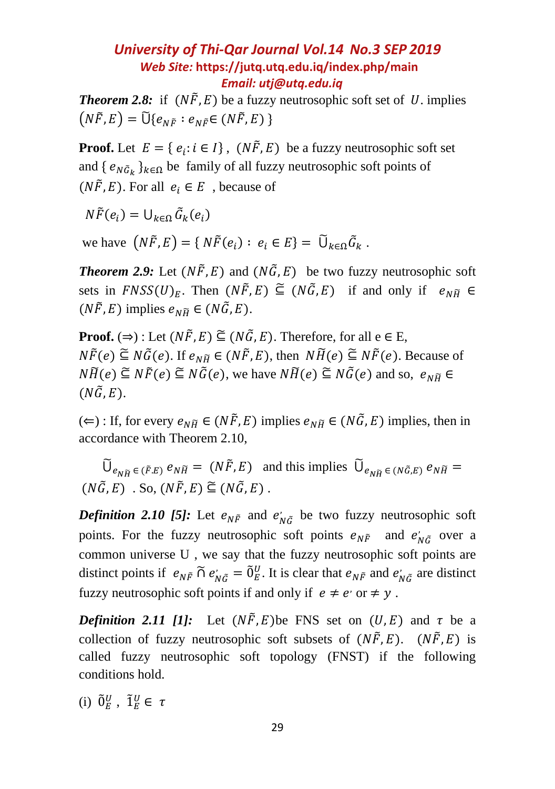*Theorem 2.8:* if  $(N\tilde{F}, E)$  be a fuzzy neutrosophic soft set of U. implies  $(N\tilde{F}, E) = \tilde{U} \{ e_{N\tilde{F}} : e_{N\tilde{F}} \in (N\tilde{F}, E) \}$ 

**Proof.** Let  $E = \{e_i : i \in I\}$ ,  $(N\tilde{F}, E)$  be a fuzzy neutrosophic soft set and {  $e_{N\tilde{G}_k}$  }<sub> $k \in \Omega$ </sub> be family of all fuzzy neutrosophic soft points of  $(N\tilde{F}, E)$ . For all  $e_i \in E$ , because of

 $N\tilde{F}(e_i) = \bigcup_{k \in \Omega} \tilde{G}_k(e_i)$ 

we have  $(N\tilde{F}, E) = \{ N\tilde{F}(e_i) : e_i \in E \} = \tilde{U}_{k \in \Omega} \tilde{G}_k$ .

*Theorem 2.9:* Let  $(N\tilde{F}, E)$  and  $(N\tilde{G}, E)$  be two fuzzy neutrosophic soft sets in  $FNSS(U)_E$ . Then  $(N\tilde{F}, E) \subseteq (N\tilde{G}, E)$  if and only if  $e_{N\tilde{H}} \in$  $(N\tilde{F}, E)$  implies  $e_{N\tilde{H}} \in (N\tilde{G}, E)$ .

**Proof.** ( $\Rightarrow$ ) : Let  $(N\tilde{F}, E) \subseteq (N\tilde{G}, E)$ . Therefore, for all e  $\in$  E,  $N\tilde{F}(e) \subseteq N\tilde{G}(e)$ . If  $e_{N\tilde{H}} \in (N\tilde{F}, E)$ , then  $N\tilde{H}(e) \subseteq N\tilde{F}(e)$ . Because of  $N\widetilde{H}(e) \subseteq N\widetilde{F}(e) \subseteq N\widetilde{G}(e)$ , we have  $N\widetilde{H}(e) \subseteq N\widetilde{G}(e)$  and so,  $e_{N\widetilde{H}} \in$  $(N\tilde{G}, E).$ 

(∈) : If, for every  $e_{N\widetilde{H}}$  ∈ ( $N\widetilde{F}$ , E) implies  $e_{N\widetilde{H}}$  ∈ ( $N\widetilde{G}$ , E) implies, then in accordance with Theorem 2.10,

 $\widetilde{U}_{e_{N\widetilde{H}}\in (\widetilde{F},E)} e_{N\widetilde{H}} = (N\widetilde{F},E)$  and this implies  $\widetilde{U}_{e_{N\widetilde{H}}\in (N\widetilde{G},E)} e_{N\widetilde{H}} =$  $(N\tilde{G}, E)$ . So,  $(N\tilde{F}, E) \subseteq (N\tilde{G}, E)$ .

**Definition 2.10 [5]:** Let  $e_{N\tilde{F}}$  and  $e'_{N\tilde{G}}$  be two fuzzy neutrosophic soft points. For the fuzzy neutrosophic soft points  $e_{N\tilde{F}}$  and  $e'_{N\tilde{G}}$  over a common universe U , we say that the fuzzy neutrosophic soft points are distinct points if  $e_{N\tilde{F}} \cap e'_{N\tilde{G}} = \tilde{0}_E^U$ . It is clear that  $e_{N\tilde{F}}$  and  $e'_{N\tilde{G}}$  are distinct fuzzy neutrosophic soft points if and only if  $e \neq e'$  or  $\neq y$ .

*Definition 2.11 [1]:* Let  $(N\tilde{F}, E)$  be FNS set on  $(U, E)$  and  $\tau$  be a collection of fuzzy neutrosophic soft subsets of  $(N\tilde{F}, E)$ .  $(N\tilde{F}, E)$  is called fuzzy neutrosophic soft topology (FNST) if the following conditions hold.

(i)  $\tilde{0}_E^U$ ,  $\tilde{1}_E^U \in \tau$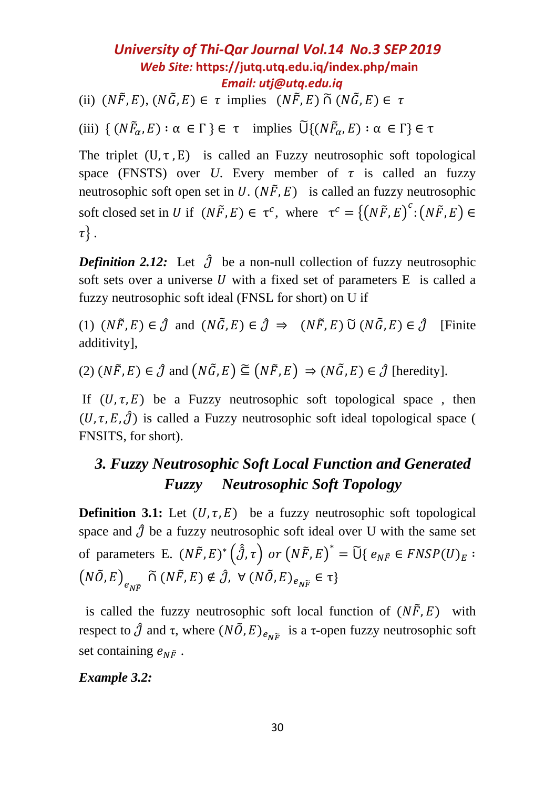(ii)  $(N\tilde{F}, E), (N\tilde{G}, E) \in \tau$  implies  $(N\tilde{F}, E) \tilde{\cap} (N\tilde{G}, E) \in \tau$ 

(iii)  $\{ (N\tilde{F}_{\alpha}, E) : \alpha \in \Gamma \} \in \tau \text{ implies } \tilde{\cup} \{ (N\tilde{F}_{\alpha}, E) : \alpha \in \Gamma \} \in \tau$ 

The triplet  $(U, \tau, E)$  is called an Fuzzy neutrosophic soft topological space (FNSTS) over *U*. Every member of  $\tau$  is called an fuzzy neutrosophic soft open set in U.  $(N\tilde{F}, E)$  is called an fuzzy neutrosophic soft closed set in U if  $(N\tilde{F}, E) \in \tau^c$ , where  $\tau^c = \{ (N\tilde{F}, E)^c : (N\tilde{F}, E) \in$  $\tau$ .

*Definition 2.12:* Let  $\hat{J}$  be a non-null collection of fuzzy neutrosophic soft sets over a universe  $U$  with a fixed set of parameters  $E$  is called a fuzzy neutrosophic soft ideal (FNSL for short) on U if

(1)  $(N\tilde{F}, E) \in \hat{\mathcal{J}}$  and  $(N\tilde{G}, E) \in \hat{\mathcal{J}} \Rightarrow (N\tilde{F}, E) \tilde{U} (N\tilde{G}, E) \in \hat{\mathcal{J}}$  [Finite additivity],

(2)  $(N\tilde{F}, E) \in \hat{\mathcal{J}}$  and  $(N\tilde{G}, E) \subseteq (N\tilde{F}, E) \Rightarrow (N\tilde{G}, E) \in \hat{\mathcal{J}}$  [heredity].

If  $(U, \tau, E)$  be a Fuzzy neutrosophic soft topological space, then  $(U, \tau, E, \hat{J})$  is called a Fuzzy neutrosophic soft ideal topological space ( FNSITS, for short).

# *3. Fuzzy Neutrosophic Soft Local Function and Generated Fuzzy Neutrosophic Soft Topology*

**Definition 3.1:** Let  $(U, \tau, E)$  be a fuzzy neutrosophic soft topological space and  $\hat{J}$  be a fuzzy neutrosophic soft ideal over U with the same set of parameters E.  $(N\tilde{F}, E)^* \left(\hat{\partial}, \tau\right)$  or  $\left(N\tilde{F}, E\right)^* = \tilde{U} \{e_{N\tilde{F}} \in FNSP(U)_E :$  $(N\tilde{O}, E)_{e_{N\widetilde{F}}} \widetilde{\cap} (N\tilde{F}, E) \notin \hat{J}, \ \forall \ (N\tilde{O}, E)_{e_{N\widetilde{F}}} \in \tau \}$ 

is called the fuzzy neutrosophic soft local function of  $(N\tilde{F}, E)$  with respect to  $\hat{\jmath}$  and  $\tau$ , where  $(N\tilde{O}, E)_{e_{N\tilde{F}}}$  is a  $\tau$ -open fuzzy neutrosophic soft set containing  $e_{N\tilde{F}}$ .

*Example 3.2:*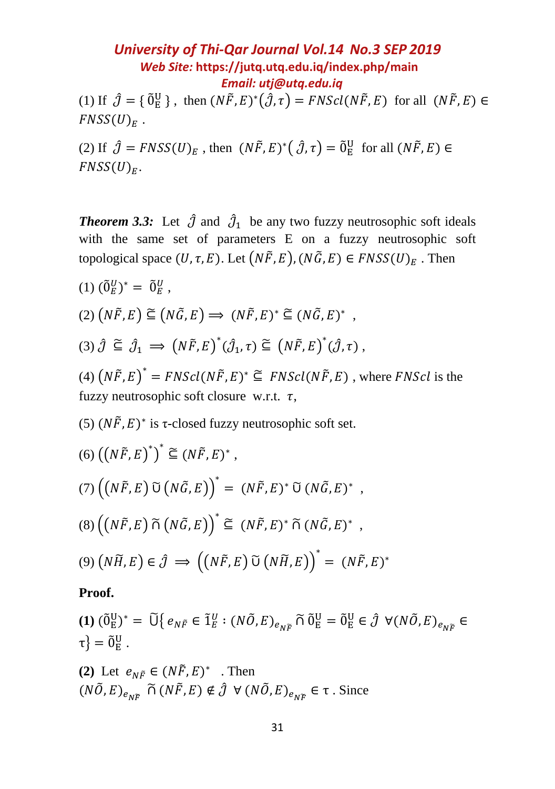(1) If  $\hat{\mathcal{J}} = \{ \tilde{0}_E^U \}$ , then  $(N\tilde{F}, E)^*(\hat{\mathcal{J}}, \tau) = FNScl(N\tilde{F}, E)$  for all  $(N\tilde{F}, E) \in$  $FNSS(U)_F$ .

(2) If  $\hat{J} = FNSS(U)_E$ , then  $(N\tilde{F}, E)^*(\hat{J}, \tau) = \tilde{0}^U_E$  for all  $(N\tilde{F}, E) \in$  $FNSS(U)<sub>F</sub>$ .

**Theorem 3.3:** Let  $\hat{\mathcal{J}}$  and  $\hat{\mathcal{J}}_1$  be any two fuzzy neutrosophic soft ideals with the same set of parameters E on a fuzzy neutrosophic soft topological space  $(U, \tau, E)$ . Let  $(N\tilde{F}, E)$ ,  $(N\tilde{G}, E) \in FNSS(U)<sub>E</sub>$ . Then

(1)  $(\tilde{0}_E^U)^* = \tilde{0}_E^U$ ,  $(2) (N\tilde{F}, E) \subseteq (N\tilde{G}, E) \Rightarrow (N\tilde{F}, E)^* \subseteq (N\tilde{G}, E)^*$ , (3)  $\hat{\mathcal{J}} \subseteq \hat{\mathcal{J}}_1 \implies \left(N\tilde{F}, E\right)^*(\hat{\mathcal{J}}_1, \tau) \subseteq \left(N\tilde{F}, E\right)^*(\hat{\mathcal{J}}, \tau)$ ,

(4)  $(N\tilde{F}, E)^* = FNScl(N\tilde{F}, E)^* \subseteq FNScl(N\tilde{F}, E)$ , where  $FNScl$  is the fuzzy neutrosophic soft closure w.r.t.  $\tau$ ,

(5)  $(N\tilde{F}, E)^*$  is *τ*-closed fuzzy neutrosophic soft set.

$$
(6) ((N\tilde{F}, E)^*)^* \cong (N\tilde{F}, E)^*,
$$
  
\n
$$
(7) ((N\tilde{F}, E) \tilde{U} (N\tilde{G}, E))^* = (N\tilde{F}, E)^* \tilde{U} (N\tilde{G}, E)^*,
$$
  
\n
$$
(8) ((N\tilde{F}, E) \tilde{\cap} (N\tilde{G}, E))^* \cong (N\tilde{F}, E)^* \tilde{\cap} (N\tilde{G}, E)^*,
$$
  
\n
$$
(9) (N\tilde{H}, E) \in \hat{\mathcal{J}} \implies ((N\tilde{F}, E) \tilde{U} (N\tilde{H}, E))^* = (N\tilde{F}, E)^*
$$

#### **Proof.**

 $(1)$   $(\tilde{0}^{\text{U}}_{\text{E}})^* = \tilde{U} \big\{ e_{N\tilde{F}} \in \tilde{1}^{\text{U}}_{E}: (N\tilde{O}, E)_{e_{N\tilde{F}}} \widetilde{\cap} \tilde{0}^{\text{U}}_{\text{E}} = \tilde{0}^{\text{U}}_{\text{E}} \in \hat{\mathcal{J}} \ \forall (N\tilde{O}, E)_{e_{N\tilde{F}}} \in \tilde{0}$  $\tau$ } =  $\tilde{0}^{\text{U}}_{\text{E}}$  .

(2) Let  $e_{N\tilde{F}} \in (N\tilde{F}, E)^*$  . Then  $(N\tilde{O}, E)_{e_{N\tilde{F}}} \tilde{\cap} (N\tilde{F}, E) \notin \hat{J} \ \forall (N\tilde{O}, E)_{e_{N\tilde{F}}} \in \tau$ . Since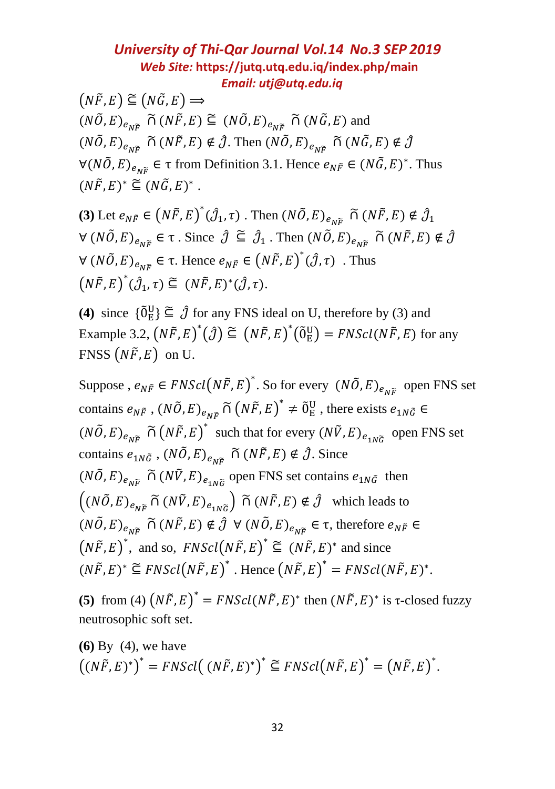$(N\tilde{F}, E) \subseteq (N\tilde{G}, E) \Longrightarrow$  $(N\tilde{O}, E)_{e \to \tilde{P}} \tilde{\cap} (N\tilde{F}, E) \subseteq (N\tilde{O}, E)_{e \to \tilde{P}} \tilde{\cap} (N\tilde{G}, E)$  and  $(N\tilde{O}, E)_{e_{N\tilde{E}}} \tilde{\cap} (N\tilde{F}, E) \notin \hat{\mathcal{J}}$ . Then  $(N\tilde{O}, E)_{e_{N\tilde{E}}} \tilde{\cap} (N\tilde{G}, E) \notin \hat{\mathcal{J}}$  $\forall (N\tilde{O}, E)_{e_{N\tilde{F}}} \in \tau$  from Definition 3.1. Hence  $e_{N\tilde{F}} \in (N\tilde{G}, E)^*$ . Thus  $(N\tilde{F}, E)^* \subseteq (N\tilde{G}, E)^*$ .

**(3)** Let  $e_{N\tilde{F}} \in (N\tilde{F}, E)^*(\hat{J}_1, \tau)$ . Then  $(N\tilde{O}, E)_{e_{N\tilde{F}}} \cap (N\tilde{F}, E) \notin \hat{J}_1$  $\forall (N\tilde{O}, E)_{e_{N\widetilde{F}}} \in \tau$ . Since  $\hat{J} \subseteq \hat{J}_1$ . Then  $(N\tilde{O}, E)_{e_{N\widetilde{F}}} \cap (N\tilde{F}, E) \notin \hat{J}$  $\forall (N\tilde{O}, E)_{e_{N\tilde{F}}} \in \tau$ . Hence  $e_{N\tilde{F}} \in (N\tilde{F}, E)^*(\hat{J}, \tau)$ . Thus  $(N\tilde{F}, E)^*(\hat{\mathcal{J}}_1, \tau) \subseteq (N\tilde{F}, E)^*(\hat{\mathcal{J}}, \tau).$ 

**(4)** since  $\{\tilde{0}_E^U\} \subseteq \hat{\mathcal{J}}$  for any FNS ideal on U, therefore by (3) and Example 3.2,  $(N\tilde{F}, E)^*(\hat{J}) \subseteq (N\tilde{F}, E)^*(\tilde{0}_E^U) = FNScl(N\tilde{F}, E)$  for any FNSS  $(N\tilde{F}, E)$  on U.

Suppose,  $e_{N\tilde{F}} \in FNScl(N\tilde{F}, E)^*$ . So for every  $(N\tilde{O}, E)_{e_{N\tilde{F}}}$  open FNS set contains  $e_{N\tilde{F}}$ ,  $(N\tilde{O}, E)_{e_{N\tilde{F}}} \tilde{\cap} (N\tilde{F}, E)^* \neq \tilde{0}^U_E$ , there exists  $e_{1N\tilde{G}} \in$  $(N\tilde{O}, E)_{e_{N\tilde{F}}} \tilde{\cap} (N\tilde{F}, E)^*$  such that for every  $(N\tilde{V}, E)_{e_{1N\tilde{G}}}$  open FNS set contains  $e_{1N\tilde{G}}$ ,  $(N\tilde{O}, E)_{e_{N\tilde{G}}}$   $\tilde{\cap}$   $(N\tilde{F}, E) \notin \hat{J}$ . Since  $(N\tilde{O}, E)_{e_{N\tilde{F}}} \tilde{\cap} (N\tilde{V}, E)_{e_{1N\tilde{G}}}$  open FNS set contains  $e_{1N\tilde{G}}$  then  $((N\tilde{O}, E)_{e_{N\tilde{F}}} \tilde{\cap} (N\tilde{V}, E)_{e_{1N\tilde{G}}} ) \tilde{\cap} (N\tilde{F}, E) \notin \hat{J}$  which leads to  $(N\tilde{O}, E)_{e_{N\tilde{F}}} \tilde{\cap} (N\tilde{F}, E) \notin \hat{J} \ \forall (N\tilde{O}, E)_{e_{N\tilde{F}}} \in \tau$ , therefore  $e_{N\tilde{F}} \in$  $(N\tilde{F}, E)^*$ , and so,  $FNScl(N\tilde{F}, E)^* \subseteq (N\tilde{F}, E)^*$  and since  $(N\tilde{F}, E)^* \subseteq FNScl(N\tilde{F}, E)^*$ . Hence  $(N\tilde{F}, E)^* = FNScl(N\tilde{F}, E)^*$ .

**(5)** from (4)  $(N\tilde{F}, E)^* = FNScl(N\tilde{F}, E)^*$  then  $(N\tilde{F}, E)^*$  is *τ*-closed fuzzy neutrosophic soft set.

**(6)** By (4), we have  $((N\tilde{F}, E)^*)^* = FNScl((N\tilde{F}, E)^*)^* \subseteq FNScl(N\tilde{F}, E)^* = (N\tilde{F}, E)^*.$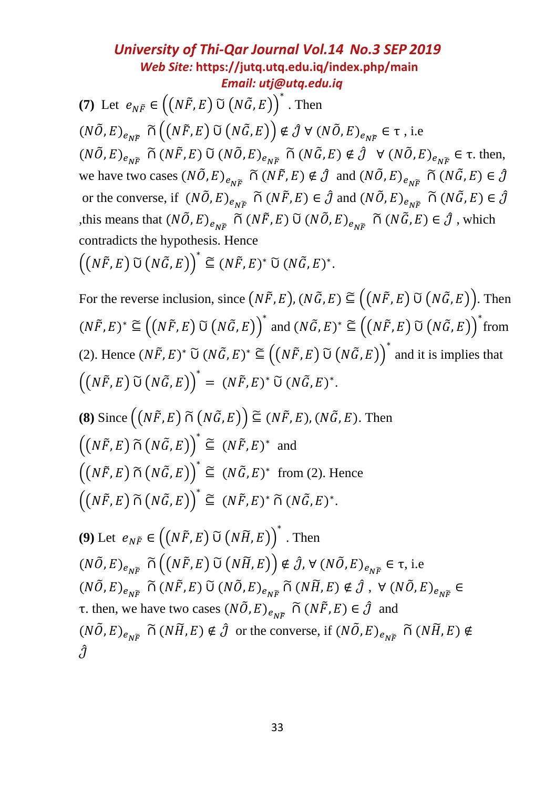**(7)** Let  $e_{N\tilde{F}} \in ((N\tilde{F}, E) \tilde{\cup} (N\tilde{G}, E))^*$ . Then  $(N\tilde{O}, E)_{e_{N\tilde{F}}} \tilde{\cap} ((N\tilde{F}, E) \tilde{\cup} (N\tilde{G}, E)) \notin \hat{\mathcal{J}} \forall (N\tilde{O}, E)_{e_{N\tilde{F}}} \in \tau$ , i.e  $(N\tilde{O}, E)_{e_{N\tilde{F}}} \tilde{\cap} (N\tilde{F}, E) \tilde{\cup} (N\tilde{O}, E)_{e_{N\tilde{F}}} \tilde{\cap} (N\tilde{G}, E) \notin \hat{J} \quad \forall (N\tilde{O}, E)_{e_{N\tilde{F}}} \in \tau$ . then, we have two cases  $(N\tilde{O}, E)_{e\gamma\tilde{e}} \tilde{\Omega} (N\tilde{F}, E) \notin \hat{J}$  and  $(N\tilde{O}, E)_{e\gamma\tilde{e}} \tilde{\Omega} (N\tilde{G}, E) \in \hat{J}$ or the converse, if  $(N\tilde{O}, E)_{e_{N\tilde{P}}}$   $\tilde{\cap}$   $(N\tilde{F}, E) \in \hat{\mathcal{J}}$  and  $(N\tilde{O}, E)_{e_{N\tilde{P}}}$   $\tilde{\cap}$   $(N\tilde{G}, E) \in \hat{\mathcal{J}}$ ,this means that  $(N\tilde{O}, E)_{e_{N\tilde{F}}} \tilde{\cap} (N\tilde{F}, E) \tilde{\cup} (N\tilde{O}, E)_{e_{N\tilde{F}}} \tilde{\cap} (N\tilde{G}, E) \in \hat{\mathcal{J}}$ , which contradicts the hypothesis. Hence

 $((N\widetilde{F},E)\ \widetilde{\cup}\ (N\widetilde{G},E)\big)^*\subseteq (N\widetilde{F},E)^*\ \widetilde{\cup}\ (N\widetilde{G},E)^*.$ 

For the reverse inclusion, since  $(N\tilde{F}, E)$ ,  $(N\tilde{G}, E) \subseteq ((N\tilde{F}, E) \tilde{U} (N\tilde{G}, E))$ . Then  $(N\tilde{F}, E)^* \cong ((N\tilde{F}, E) \tilde{\cup} (N\tilde{G}, E))^*$  and  $(N\tilde{G}, E)^* \cong ((N\tilde{F}, E) \tilde{\cup} (N\tilde{G}, E))^*$  from (2). Hence  $(N\tilde{F}, E)^* \widetilde{\cup} (N\tilde{G}, E)^* \subseteq ((N\tilde{F}, E) \widetilde{\cup} (N\tilde{G}, E))^*$  and it is implies that  $((N\widetilde{F}, E) \widetilde{\cup} (N\widetilde{G}, E))^* = (N\widetilde{F}, E)^* \widetilde{\cup} (N\widetilde{G}, E)^*.$ 

**(8)** Since  $((N\tilde{F}, E) \tilde{\cap} (N\tilde{G}, E)) \subseteq (N\tilde{F}, E), (N\tilde{G}, E)$ . Then  $((N\tilde{F}, E) \tilde{\cap} (N\tilde{G}, E))^* \subseteq (N\tilde{F}, E)^*$  and  $((N\tilde{F}, E) \tilde{\cap} (N\tilde{G}, E))^* \subseteq (N\tilde{G}, E)^*$  from (2). Hence  $((N\widetilde{F},E)\widetilde{\cap}(N\widetilde{G},E))^* \subseteq (N\widetilde{F},E)^* \widetilde{\cap}(N\widetilde{G},E)^*.$ 

**(9)** Let  $e_{N\tilde{F}} \in ((N\tilde{F}, E) \tilde{\cup} (N\tilde{H}, E))^*$ . Then  $(N\tilde{O}, E)_{e_{N\tilde{F}}} \tilde{\cap} ((N\tilde{F}, E) \tilde{\cup} (N\tilde{H}, E)) \notin \hat{J}, \forall (N\tilde{O}, E)_{e_{N\tilde{F}}} \in \tau$ , i.e  $\left(N\tilde{O},E\right)_{e_{N\widetilde{F}}} \, \widetilde{\cap}\,\left(N\tilde{F},E\right) \, \widetilde{\cup}\,\left(N\tilde{O},E\right)_{e_{N\widetilde{F}}} \, \widetilde{\cap}\,\left(N\widetilde{H},E\right) \notin \hat{\mathcal{J}}\,,\, \, \forall\,\left(N\tilde{O},E\right)_{e_{N\widetilde{F}}} \in$ τ. then, we have two cases  $(N\tilde{O}, E)_{e_{N\tilde{E}}} \tilde{\cap} (N\tilde{F}, E) \in \hat{J}$  and  $(N\tilde{O}, E)_{e_{N\tilde{F}}}$   $\tilde{\cap}$   $(N\tilde{H}, E) \notin \hat{J}$  or the converse, if  $(N\tilde{O}, E)_{e_{N\tilde{F}}}$   $\tilde{\cap}$   $(N\tilde{H}, E) \notin$  $\hat{J}$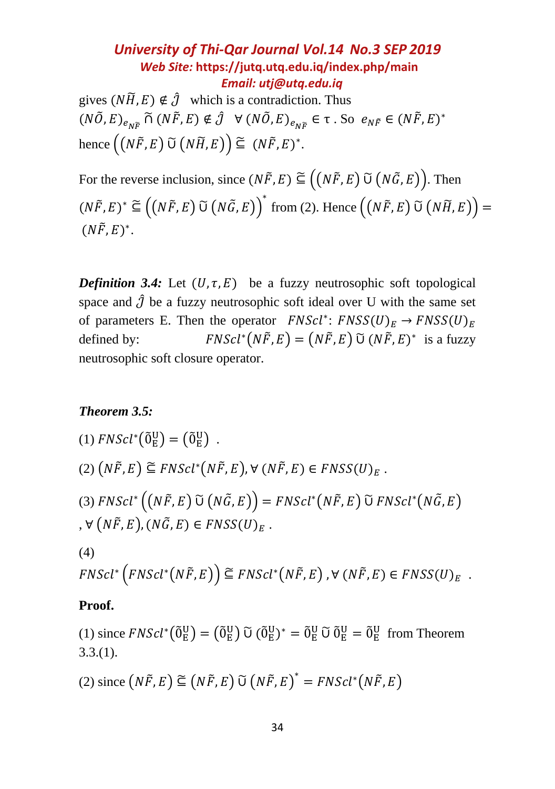gives  $(N\widetilde{H}, E) \notin \widehat{\mathcal{J}}$  which is a contradiction. Thus  $(N\tilde{O}, E)_{e_{N\tilde{F}}} \widetilde{\cap} (N\tilde{F}, E) \notin \hat{\mathcal{J}} \ \ \forall \ (N\tilde{O}, E)_{e_{N\tilde{F}}} \in \tau \ . \ So \ e_{N\tilde{F}} \in (N\tilde{F}, E)^*$ hence  $((N\tilde{F}, E) \ \tilde{U} (N\tilde{H}, E)) \subseteq (N\tilde{F}, E)^*$ .

For the reverse inclusion, since  $(N\tilde{F}, E) \subseteq ((N\tilde{F}, E) \cup (N\tilde{G}, E))$ . Then  $(N\tilde{F}, E)^* \cong ((N\tilde{F}, E) \tilde{\cup} (N\tilde{G}, E))^*$  from (2). Hence  $((N\tilde{F}, E) \tilde{\cup} (N\tilde{H}, E))$  =  $(N\tilde{F}, E)^*$ .

*Definition* 3.4: Let  $(U, \tau, E)$  be a fuzzy neutrosophic soft topological space and  $\hat{J}$  be a fuzzy neutrosophic soft ideal over U with the same set of parameters E. Then the operator  $FNScl^*$ :  $FNSS(U)_E \rightarrow FNSS(U)_E$ defined by:  $(N\tilde{F}, E) = (N\tilde{F}, E)$   $\tilde{U}$   $(N\tilde{F}, E)^*$  is a fuzzy neutrosophic soft closure operator.

#### *Theorem 3.5:*

(1) 
$$
FNScl^*(\tilde{0}_E^U) = (\tilde{0}_E^U)
$$
.  
\n(2)  $(N\tilde{F}, E) \cong FNScl^*(N\tilde{F}, E), \forall (N\tilde{F}, E) \in FNSS(U)_E$ .  
\n(3)  $FNScl^*\left((N\tilde{F}, E) \tilde{U}(N\tilde{G}, E)\right) = FNScl^*(N\tilde{F}, E) \tilde{U} FNScl^*(N\tilde{G}, E)$ ,  $\forall (N\tilde{F}, E), (N\tilde{G}, E) \in FNSS(U)_E$ .  
\n(4)

$$
FNScl^*\left(FNScl^*\left(N\tilde{F},E\right)\right) \subseteq FNScl^*\left(N\tilde{F},E\right), \forall \left(N\tilde{F},E\right) \in FNSS(U)_E.
$$

#### **Proof.**

(1) since  $FNScl^*({\tilde 0}^{\text{U}}_{\text{E}}) = ({\tilde 0}^{\text{U}}_{\text{E}}) {\tilde U} ({\tilde 0}^{\text{U}}_{\text{E}})^* = {\tilde 0}^{\text{U}}_{\text{E}} {\tilde U} {\tilde 0}^{\text{U}}_{\text{E}} = {\tilde 0}^{\text{U}}_{\text{E}}$  from Theorem  $3.3(1)$ .

(2) since 
$$
(N\tilde{F}, E) \subseteq (N\tilde{F}, E) \cup (N\tilde{F}, E)^* = FNScl^*(N\tilde{F}, E)
$$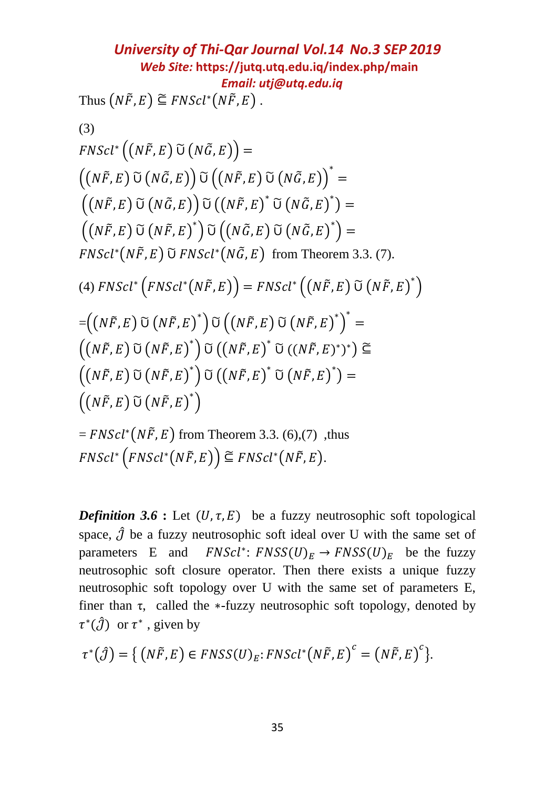**University of Thi-Qar Journal Vol.14 No.3 SEP 2019**  
\n*Web Site:* <https://jutq.utq.edu.iq/index.php/main>  
\nThus 
$$
(N\tilde{F}, E) \cong FNScl^*(N\tilde{F}, E)
$$
.  
\n(3)  
\n*FNScl*<sup>\*</sup> $\left((N\tilde{F}, E) \tilde{U}(N\tilde{G}, E)\right) =$   
\n $\left((N\tilde{F}, E) \tilde{U}(N\tilde{G}, E)\right) \tilde{U}\left((N\tilde{F}, E) \tilde{U}(N\tilde{G}, E)\right)^* =$   
\n $\left((N\tilde{F}, E) \tilde{U}(N\tilde{G}, E)\right) \tilde{U}\left((N\tilde{F}, E) \tilde{U}(N\tilde{G}, E)\right)^* =$   
\n $\left((N\tilde{F}, E) \tilde{U}(N\tilde{F}, E)\right) \tilde{U}\left((N\tilde{F}, E) \tilde{U}(N\tilde{G}, E)\right)^* =$   
\n*FNScl*<sup>\*</sup> $\left(N\tilde{F}, E) \tilde{U} FNScl^*(N\tilde{G}, E) \text{ from Theorem 3.3. (7)}$ .  
\n(4) *FNScl*<sup>\*</sup> $\left(FNScl^*(N\tilde{F}, E)\right) = FNScl^*\left((N\tilde{F}, E) \tilde{U}(N\tilde{F}, E)^*\right)$   
\n $= \left((N\tilde{F}, E) \tilde{U}(N\tilde{F}, E)^*\right) \tilde{U}\left((N\tilde{F}, E) \tilde{U}(N\tilde{F}, E)^*\right)^* =$   
\n $\left((N\tilde{F}, E) \tilde{U}(N\tilde{F}, E)^*\right) \tilde{U}\left((N\tilde{F}, E) \tilde{U}(N\tilde{F}, E)^*\right) =$   
\n $\left((N\tilde{F}, E) \tilde{U}(N\tilde{F}, E)^*\right)$   
\n $= FNScl^*(N\tilde{F}, E) \text{ from Theorem 3.3. (6),(7), thus}$   
\n*FNScl*<sup>\*</sup> $\left(FNScl^*($ 

*Definition* 3.6 : Let  $(U, \tau, E)$  be a fuzzy neutrosophic soft topological space,  $\hat{J}$  be a fuzzy neutrosophic soft ideal over U with the same set of parameters E and  $FNScl^*: FNSS(U)_E \rightarrow FNSS(U)_E$  be the fuzzy neutrosophic soft closure operator. Then there exists a unique fuzzy neutrosophic soft topology over U with the same set of parameters E, finer than  $\tau$ , called the \*-fuzzy neutrosophic soft topology, denoted by  $\tau^*(\hat{\mathcal{J}})$  or  $\tau^*$ , given by

$$
\tau^*(\hat{\mathcal{J}}) = \{ (N\tilde{F}, E) \in FNSS(U)_E : FNScl^*(N\tilde{F}, E)^c = (N\tilde{F}, E)^c \}.
$$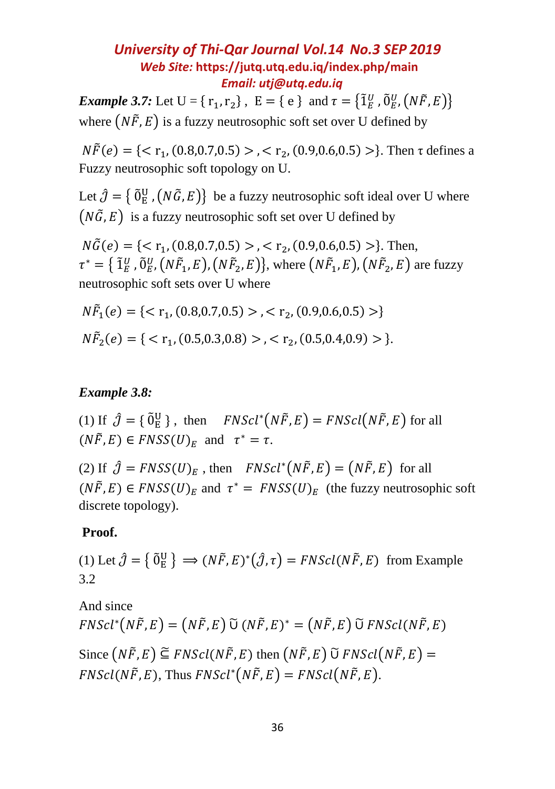*Example* 3.7: Let  $U = \{r_1, r_2\}$ ,  $E = \{e\}$  and  $\tau = \{\tilde{1}_E^U, \tilde{0}_E^U, (N\tilde{F}, E)\}$ where  $(N\tilde{F}, E)$  is a fuzzy neutrosophic soft set over U defined by

 $N\tilde{F}(e) = \{ \langle \n\tau_1, (0.8, 0.7, 0.5) \rangle, \langle \n\tau_2, (0.9, 0.6, 0.5) \rangle \}$ . Then  $\tau$  defines a Fuzzy neutrosophic soft topology on U.

Let  $\hat{\jmath} = \{ \tilde{0}_E^U$ ,  $(N\tilde{G}, E) \}$  be a fuzzy neutrosophic soft ideal over U where  $(N\tilde{G}, E)$  is a fuzzy neutrosophic soft set over U defined by

 $N\tilde{G}(e) = \{ \langle \nabla_{11}, (0.8, 0.7, 0.5) \rangle, \langle \nabla_{12}, (0.9, 0.6, 0.5) \rangle \}$ . Then,  $\tau^* = \{ \tilde{1}_E^U, \tilde{0}_E^U, (N\tilde{F}_1, E), (N\tilde{F}_2, E) \}, \text{ where } (N\tilde{F}_1, E), (N\tilde{F}_2, E) \text{ are fuzzy }$ neutrosophic soft sets over U where

$$
N\tilde{F}_1(e) = \{ < r_1, (0.8, 0.7, 0.5) > , < r_2, (0.9, 0.6, 0.5) > \}
$$
\n
$$
N\tilde{F}_2(e) = \{ < r_1, (0.5, 0.3, 0.8) > , < r_2, (0.5, 0.4, 0.9) > \}.
$$

#### *Example 3.8:*

(1) If  $\hat{\mathcal{J}} = \{ \tilde{0}_E^U \}$ , then  $FNScl^*(N\tilde{F}, E) = FNScl(N\tilde{F}, E)$  for all  $(N\tilde{F}, E) \in FNSS(U)_E$  and  $\tau^* = \tau$ .

(2) If  $\hat{J} = F N S S(U)_{E}$ , then  $F N S c l^{*} (N \tilde{F}, E) = (N \tilde{F}, E)$  for all  $(N\tilde{F}, E) \in FNSS(U)_E$  and  $\tau^* = FNSS(U)_E$  (the fuzzy neutrosophic soft discrete topology).

#### **Proof.**

(1) Let  $\hat{\jmath} = {\{\tilde{0}^U_E\}} \implies (N\tilde{F}, E)^* (\hat{\jmath}, \tau) = FNScl(N\tilde{F}, E)$  from Example 3.2

And since  $FNScl^{*}(N\tilde{F}, E) = (N\tilde{F}, E) \tilde{U} (N\tilde{F}, E)^{*} = (N\tilde{F}, E) \tilde{U} FNScl(N\tilde{F}, E)$ Since  $(N\tilde{F}, E) \subseteq FNScl(N\tilde{F}, E)$  then  $(N\tilde{F}, E)$   $\tilde{U}$   $FNScl(N\tilde{F}, E) =$  $FNScl(N\tilde{F}, E)$ , Thus  $FNScl^{*}(N\tilde{F}, E) = FNScl(N\tilde{F}, E)$ .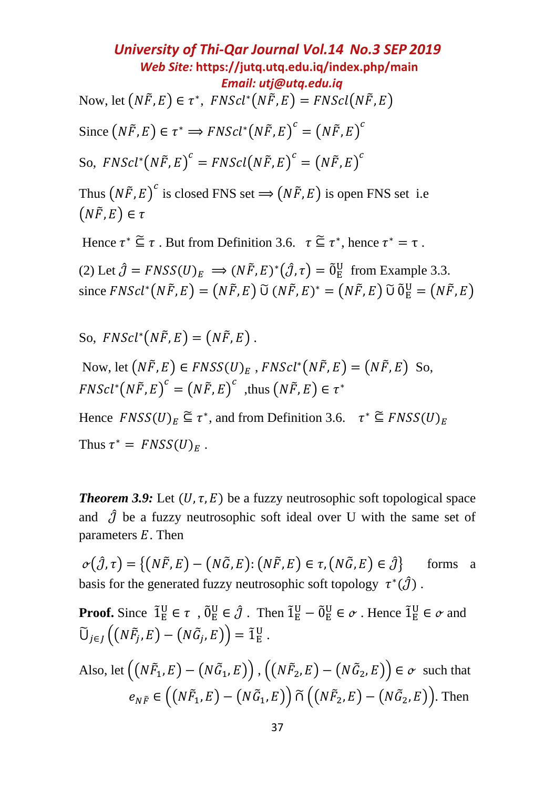*University of Thi-Qar Journal Vol.14 No.3 SEP 2019 Web Site:* **<https://jutq.utq.edu.iq/index.php/main>**  *Email: utj@utq.edu.iq* Now, let  $\left( N\tilde{F},E\right) \in\tau^{\ast},\ FNScl^{\ast}\big( N\tilde{F},E\big) = FNScl\big( N\tilde{F},E\big)$ Since  $(N\tilde{F}, E) \in \tau^* \Rightarrow FNScl^*(N\tilde{F}, E)^c = (N\tilde{F}, E)^c$ So,  $FNScl^*(N\widetilde{F},E)^c = FNScl(N\widetilde{F},E)^c = (N\widetilde{F},E)^c$ 

Thus  $(N\tilde{F}, E)^c$  is closed FNS set  $\Rightarrow (N\tilde{F}, E)$  is open FNS set i.e  $(N\tilde{F}, E) \in \tau$ 

Hence  $\tau^* \subseteq \tau$ . But from Definition 3.6.  $\tau \subseteq \tau^*$ , hence  $\tau^* = \tau$ .

(2) Let  $\hat{\jmath} = FNSS(U)_E \implies (N\tilde{F}, E)^*(\hat{\jmath}, \tau) = \tilde{0}^U_E$  from Example 3.3. since  $FNScl^*(N\tilde{F}, E) = (N\tilde{F}, E)$  Ũ  $(N\tilde{F}, E)^* = (N\tilde{F}, E)$  Ũ  $\tilde{0}^U_E = (N\tilde{F}, E)$ 

So,  $FNScl^*(N\tilde{F}, E) = (N\tilde{F}, E)$ .

Now, let  $(N\tilde{F}, E) \in FNSS(U)_E$ ,  $FNScl^*(N\tilde{F}, E) = (N\tilde{F}, E)$  So,  $FNScl^{*}(N\tilde{F}, E)^{c} = (N\tilde{F}, E)^{c}$ , thus  $(N\tilde{F}, E) \in \tau^{*}$ 

Hence  $FNSS(U)_E \subseteq \tau^*$ , and from Definition 3.6.  $\tau^* \subseteq FNSS(U)_E$ Thus  $\tau^* = FNSS(U)_E$ .

*Theorem* 3.9: Let  $(U, \tau, E)$  be a fuzzy neutrosophic soft topological space and  $\hat{J}$  be a fuzzy neutrosophic soft ideal over U with the same set of parameters  $E$ . Then

 $\varphi(\hat{\jmath}, \tau) = \{ (N\tilde{F}, E) - (N\tilde{G}, E) : (N\tilde{F}, E) \in \tau, (N\tilde{G}, E) \in \hat{\jmath} \}$  forms a basis for the generated fuzzy neutrosophic soft topology  $\tau^*(\hat{J})$ .

**Proof.** Since  $\tilde{\mathbf{1}}_E^U \in \tau$ ,  $\tilde{\mathbf{0}}_E^U \in \hat{\mathcal{J}}$ . Then  $\tilde{\mathbf{1}}_E^U - \tilde{\mathbf{0}}_E^U \in \sigma$ . Hence  $\tilde{\mathbf{1}}_E^U \in \sigma$  and  $\widetilde{\mathsf{U}}_{j\in J}\left((N\widetilde{F}_j,E)-(N\widetilde{G}_j,E)\right)=\widetilde{1}_{\mathrm{E}}^{\mathrm{U}}$ .

Also, let  $\bigl((N\tilde{F}_1,E)-(N\tilde{G}_1,E)\bigr)$  ,  $\bigl((N\tilde{F}_2,E)-(N\tilde{G}_2,E)\bigr)\in\sigma\,$  such that  $e_{N\tilde{F}}\in ((N\tilde{F}_1,E)-(N\tilde{G}_1,E))\widetilde{\cap} ((N\tilde{F}_2,E)-(N\tilde{G}_2,E)).$  Then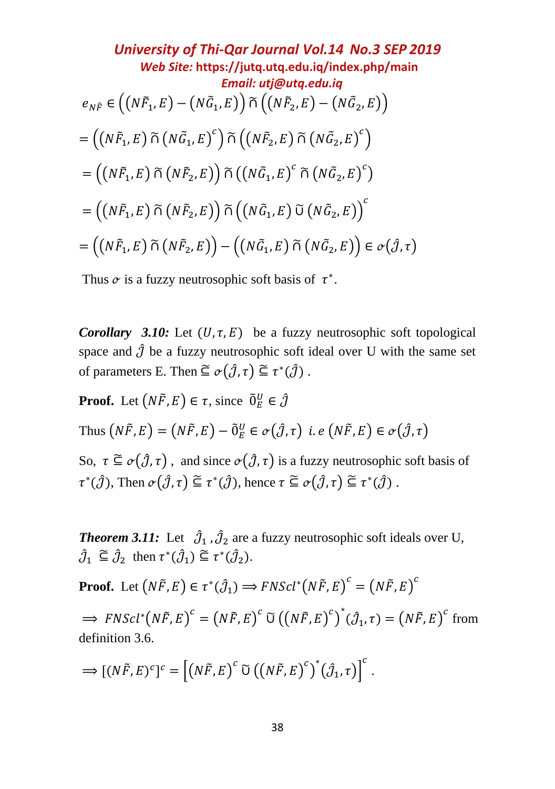**University of Thi-Qar Journal Vol.14 No.3 SEP 2019**  
\n*Web Site:* <https://jutq.utq.edu.iq/index.php/main>  
\n*Email: utj@utq.edu.iq*  
\n
$$
e_{N\tilde{F}} \in ((N\tilde{F}_1, E) - (N\tilde{G}_1, E)) \tilde{\cap} ((N\tilde{F}_2, E) - (N\tilde{G}_2, E))
$$
\n
$$
= ((N\tilde{F}_1, E) \tilde{\cap} (N\tilde{G}_1, E)^c) \tilde{\cap} ((N\tilde{F}_2, E) \tilde{\cap} (N\tilde{G}_2, E)^c)
$$
\n
$$
= ((N\tilde{F}_1, E) \tilde{\cap} (N\tilde{F}_2, E)) \tilde{\cap} ((N\tilde{G}_1, E) \tilde{\cap} (N\tilde{G}_2, E)^c)
$$
\n
$$
= ((N\tilde{F}_1, E) \tilde{\cap} (N\tilde{F}_2, E)) \tilde{\cap} ((N\tilde{G}_1, E) \tilde{\cup} (N\tilde{G}_2, E))^c
$$
\n
$$
= ((N\tilde{F}_1, E) \tilde{\cap} (N\tilde{F}_2, E)) - ((N\tilde{G}_1, E) \tilde{\cap} (N\tilde{G}_2, E)) \in \sigma(\hat{J}, \tau)
$$

Thus  $\sigma$  is a fuzzy neutrosophic soft basis of  $\tau^*$ .

*Corollary 3.10:* Let  $(U, \tau, E)$  be a fuzzy neutrosophic soft topological space and  $\hat{J}$  be a fuzzy neutrosophic soft ideal over U with the same set of parameters E. Then  $\subseteq \sigma(\hat{\jmath}, \tau) \subseteq \tau^*(\hat{\jmath})$ .

**Proof.** Let  $(N\tilde{F}, E) \in \tau$ , since  $\tilde{0}_E^U \in \hat{\mathcal{J}}$ 

Thus  $(N\tilde{F}, E) = (N\tilde{F}, E) - \tilde{0}^U_E \in \sigma(\hat{\jmath}, \tau)$  i.e  $(N\tilde{F}, E) \in \sigma(\hat{\jmath}, \tau)$ 

So,  $\tau \subseteq \sigma(\hat{\jmath}, \tau)$ , and since  $\sigma(\hat{\jmath}, \tau)$  is a fuzzy neutrosophic soft basis of  $\tau^*(\hat{\mathcal{J}})$ , Then  $\sigma(\hat{\mathcal{J}}, \tau) \subseteq \tau^*(\hat{\mathcal{J}})$ , hence  $\tau \subseteq \sigma(\hat{\mathcal{J}}, \tau) \subseteq \tau^*(\hat{\mathcal{J}})$ .

**Theorem 3.11:** Let  $\hat{\mathcal{J}}_1$ ,  $\hat{\mathcal{J}}_2$  are a fuzzy neutrosophic soft ideals over U,  $\hat{\mathcal{J}}_1 \subseteq \hat{\mathcal{J}}_2$  then  $\tau^*(\hat{\mathcal{J}}_1) \subseteq \tau^*(\hat{\mathcal{J}}_2)$ .

**Proof.** Let  $(N\tilde{F}, E) \in \tau^*(\hat{J}_1) \Longrightarrow FNScl^*(N\tilde{F}, E)^c = (N\tilde{F}, E)^c$ 

 $\Rightarrow$   $FNScl^{*}(N\tilde{F}, E)^{c} = (N\tilde{F}, E)^{c} \widetilde{U}((N\tilde{F}, E)^{c})^{*}(\hat{\mathcal{J}}_{1}, \tau) = (N\tilde{F}, E)^{c}$  from definition 3.6.

$$
\Longrightarrow [(N\tilde{F},E)^c]^c = [(N\tilde{F},E)^c \widetilde{\cup} ((N\tilde{F},E)^c)^*(\hat{\jmath}_1,\tau)]^c.
$$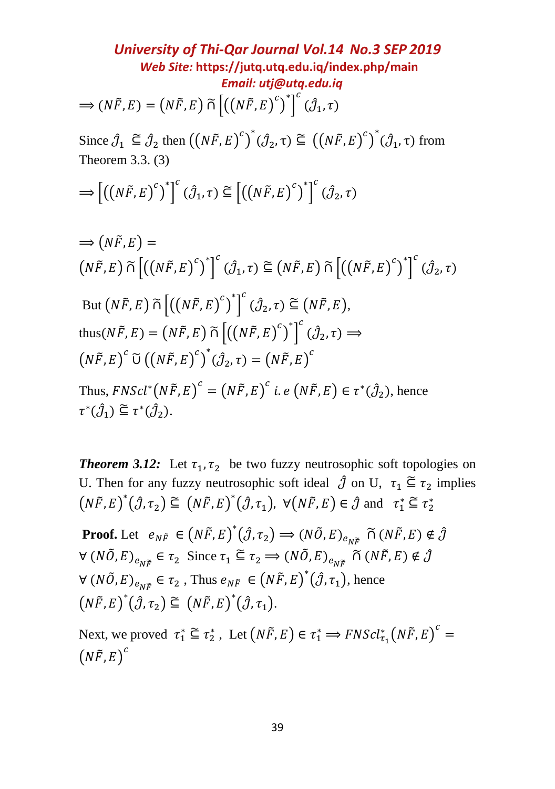*University of Thi-Qar Journal Vol.14 No.3 SEP 2019 Web Site:* **<https://jutq.utq.edu.iq/index.php/main>**  *Email: utj@utq.edu.iq*  $\Rightarrow$   $(N\tilde{F}, E) = (N\tilde{F}, E) \tilde{\cap} \left[ ((N\tilde{F}, E)^c)^* \right]$  $\overset{c}{\left( \hat{\mathcal{J}}_1,\tau \right)}$ 

Since  $\hat{\mathcal{J}}_1 \subseteq \hat{\mathcal{J}}_2$  then  $((N\tilde{F}, E)^c)^*(\hat{\mathcal{J}}_2, \tau) \subseteq ((N\tilde{F}, E)^c)^*(\hat{\mathcal{J}}_1, \tau)$  from Theorem 3.3. (3)

$$
\Longrightarrow \left[ \left( \left( N\tilde{F}, E \right)^c \right)^* \right]^c (\hat{\jmath}_1, \tau) \subseteq \left[ \left( \left( N\tilde{F}, E \right)^c \right)^* \right]^c (\hat{\jmath}_2, \tau)
$$

$$
\Rightarrow (N\tilde{F}, E) =
$$
\n
$$
(N\tilde{F}, E) \tilde{\cap} \left[ ((N\tilde{F}, E)^c)^* \right]^c (\hat{\mathcal{J}}_1, \tau) \cong (N\tilde{F}, E) \tilde{\cap} \left[ ((N\tilde{F}, E)^c)^* \right]^c (\hat{\mathcal{J}}_2, \tau)
$$
\n
$$
\text{But } (N\tilde{F}, E) \tilde{\cap} \left[ ((N\tilde{F}, E)^c)^* \right]^c (\hat{\mathcal{J}}_2, \tau) \cong (N\tilde{F}, E),
$$
\n
$$
\text{thus}(N\tilde{F}, E) = (N\tilde{F}, E) \tilde{\cap} \left[ ((N\tilde{F}, E)^c)^* \right]^c (\hat{\mathcal{J}}_2, \tau) \Rightarrow
$$
\n
$$
(N\tilde{F}, E)^c \tilde{\cup} ((N\tilde{F}, E)^c)^* (\hat{\mathcal{J}}_2, \tau) = (N\tilde{F}, E)^c
$$
\n
$$
\text{Thus, } FNScl^*(N\tilde{F}, E)^c = (N\tilde{F}, E)^c \text{ i.e } (N\tilde{F}, E) \in \tau^*(\hat{\mathcal{J}}_2), \text{ hence}
$$
\n
$$
\tau^*(\hat{\mathcal{J}}_1) \cong \tau^*(\hat{\mathcal{J}}_2).
$$

*Theorem 3.12:* Let  $\tau_1$ ,  $\tau_2$  be two fuzzy neutrosophic soft topologies on U. Then for any fuzzy neutrosophic soft ideal  $\hat{\mathcal{J}}$  on U,  $\tau_1 \subseteq \tau_2$  implies  $(N\tilde{F}, E)^*(\hat{\jmath}, \tau_2) \subseteq (N\tilde{F}, E)^*(\hat{\jmath}, \tau_1), \ \forall (N\tilde{F}, E) \in \hat{\jmath} \text{ and } \tau_1^* \subseteq \tau_2^*$ 

**Proof.** Let  $e_{N\tilde{F}} \in (N\tilde{F}, E)^*(\hat{J}, \tau_2) \Rightarrow (N\tilde{O}, E)_{e_{N\tilde{F}}} \cap (N\tilde{F}, E) \notin \hat{J}$  $\forall (N\tilde{O}, E)_{e_{N\tilde{F}}} \in \tau_2$  Since  $\tau_1 \subseteq \tau_2 \Longrightarrow (N\tilde{O}, E)_{e_{N\tilde{F}}}$   $\tilde{\cap} (N\tilde{F}, E) \notin \hat{J}$  $\forall (N\tilde{O}, E)_{e_{N\tilde{F}}} \in \tau_2$ , Thus  $e_{N\tilde{F}} \in (N\tilde{F}, E)^*(\hat{J}, \tau_1)$ , hence  $(N\tilde{F}, E)^*(\hat{\jmath}, \tau_2) \subseteq (N\tilde{F}, E)^*(\hat{\jmath}, \tau_1).$ 

Next, we proved  $\tau_1^* \subseteq \tau_2^*$ , Let  $(N\tilde{F}, E) \in \tau_1^* \implies FNScl_{\tau_1}^*(N\tilde{F}, E)^c =$  $(N\widetilde{F}, E)^c$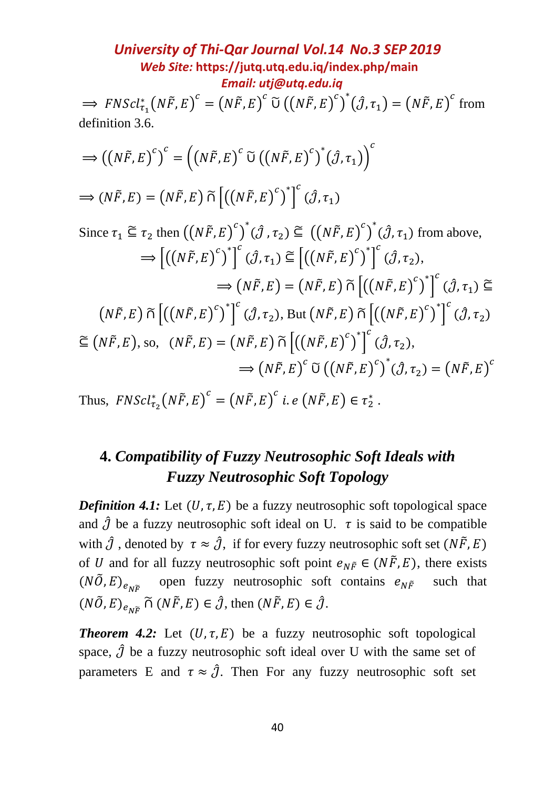**University of Thi-Qar Journal Vol.14 No.3 SEP 2019**  
\n*Web Site:* **https://jutq.utq.edu.iq/index.php/main**  
\n⇒ *FNScl*<sub>τ<sub>1</sub></sub> (*N*
$$
\tilde{F}
$$
, *E*)<sup>c</sup> = (*N* $\tilde{F}$ , *E*)<sup>c</sup> ∑ (*N* $\tilde{F}$ , *E*)<sup>c</sup> ∑ (*N* $\tilde{F}$ , *E*)<sup>c</sup>)<sup>†</sup> (*∂*, *τ*<sub>1</sub>) = (*N* $\tilde{F}$ , *E*)<sup>c</sup> from definition 3.6.  
\n⇒  $((N\tilde{F}, E)^c)^c = ((N\tilde{F}, E)^c \tilde{U}((N\tilde{F}, E)^c)^* (\hat{J}, \tau_1))^c$   
\n⇒  $(N\tilde{F}, E) = (N\tilde{F}, E) \tilde{U}[(N\tilde{F}, E)^c)^* (\hat{J}, \tau_1)$   
\nSince  $\tau_1 \subseteq \tau_2$  then  $((N\tilde{F}, E)^c)^* (\hat{J}, \tau_2) \subseteq ((N\tilde{F}, E)^c)^* (\hat{J}, \tau_1)$  from above,  
\n⇒  $[(N\tilde{F}, E)^c)^*] ({}^c (\hat{J}, \tau_1) \subseteq [(N\tilde{F}, E)^c)^*] ({}^c (\hat{J}, \tau_2)$ ,  
\n⇒  $(N\tilde{F}, E) = (N\tilde{F}, E) = (N\tilde{F}, E) \tilde{U} [(N\tilde{F}, E)^c)^*] ({}^c (\hat{J}, \tau_1) \subseteq$   
\n $(N\tilde{F}, E) \tilde{U} [(N\tilde{F}, E)^c)^*] ({}^c (\hat{J}, \tau_2)$ , But  $(N\tilde{F}, E) \tilde{U} [(N\tilde{F}, E)^c)^*] ({}^c (\hat{J}, \tau_2)$   
\n $\cong (N\tilde{F}, E)$ , so,  $(N\tilde{F}, E) = (N\tilde{F}, E) \tilde{U} [(N\tilde{F}, E)^c)^* ({}^$ 

Thus,  $FNScl_{\tau_2}^*(N\tilde{F}, E)^c = (N\tilde{F}, E)^c$  *i.e*  $(N\tilde{F}, E) \in \tau_2^*$ .

# **4.** *Compatibility of Fuzzy Neutrosophic Soft Ideals with Fuzzy Neutrosophic Soft Topology*

*Definition* 4.1: Let  $(U, \tau, E)$  be a fuzzy neutrosophic soft topological space and  $\hat{J}$  be a fuzzy neutrosophic soft ideal on U.  $\tau$  is said to be compatible with  $\hat{\jmath}$ , denoted by  $\tau \approx \hat{\jmath}$ , if for every fuzzy neutrosophic soft set  $(N\tilde{F}, E)$ of *U* and for all fuzzy neutrosophic soft point  $e_{N\tilde{F}} \in (N\tilde{F}, E)$ , there exists  $(N\tilde{O}, E)_{e_{N\tilde{F}}}$  open fuzzy neutrosophic soft contains  $e_{N\tilde{F}}$  such that  $(N\tilde{O}, E)_{e_{N\tilde{E}}} \tilde{\cap} (N\tilde{F}, E) \in \hat{\mathcal{J}}$ , then  $(N\tilde{F}, E) \in \hat{\mathcal{J}}$ .

**Theorem 4.2:** Let  $(U, \tau, E)$  be a fuzzy neutrosophic soft topological space,  $\hat{J}$  be a fuzzy neutrosophic soft ideal over U with the same set of parameters E and  $\tau \approx \hat{j}$ . Then For any fuzzy neutrosophic soft set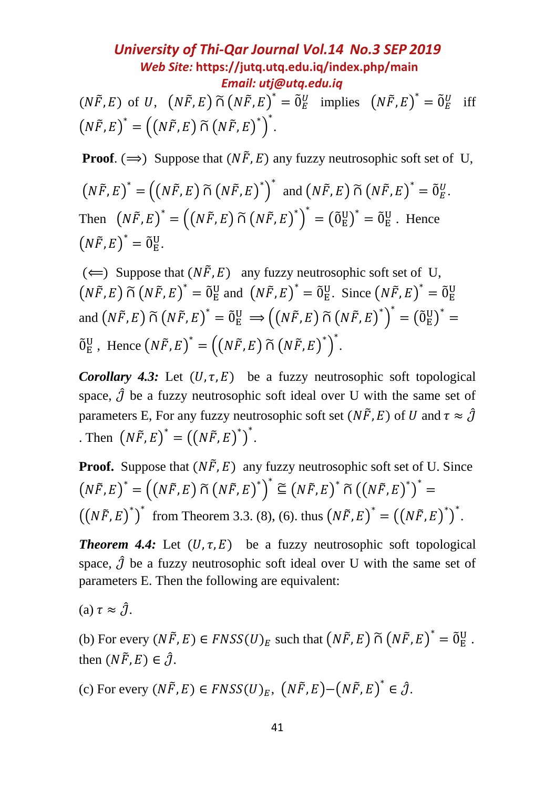$(N\tilde{F}, E)$  of U,  $(N\tilde{F}, E) \tilde{\cap} (N\tilde{F}, E)^* = \tilde{0}_E^U$  implies  $(N\tilde{F}, E)^* = \tilde{0}_E^U$  iff  $(N\tilde{F}, E)^* = ((N\tilde{F}, E) \tilde{\cap} (N\tilde{F}, E)^*)^*.$ 

**Proof.** ( $\implies$ ) Suppose that  $(N\tilde{F}, E)$  any fuzzy neutrosophic soft set of U,

$$
(N\tilde{F}, E)^* = ((N\tilde{F}, E) \tilde{\cap} (N\tilde{F}, E)^*)^* \text{ and } (N\tilde{F}, E) \tilde{\cap} (N\tilde{F}, E)^* = \tilde{0}_E^U.
$$
  
Then 
$$
(N\tilde{F}, E)^* = ((N\tilde{F}, E) \tilde{\cap} (N\tilde{F}, E)^*)^* = (\tilde{0}_E^U)^* = \tilde{0}_E^U.
$$
Hence  

$$
(N\tilde{F}, E)^* = \tilde{0}_E^U.
$$

 $(\Leftarrow)$  Suppose that  $(N\tilde{F}, E)$  any fuzzy neutrosophic soft set of U,  $(N\tilde{F}, E) \tilde{\cap} (N\tilde{F}, E)^* = \tilde{0}^U_E$  and  $(N\tilde{F}, E)^* = \tilde{0}^U_E$ . Since  $(N\tilde{F}, E)^* = \tilde{0}^U_E$ and  $(N\tilde{F}, E) \tilde{\cap} (N\tilde{F}, E)^* = \tilde{0}^U_E \implies ((N\tilde{F}, E) \tilde{\cap} (N\tilde{F}, E)^*)^* = (\tilde{0}^U_E)^* =$  $\tilde{O}_{E}^{U}$ , Hence  $(N\tilde{F}, E)^{*} = ((N\tilde{F}, E) \tilde{\cap} (N\tilde{F}, E)^{*})^{*}$ .

*Corollary 4.3:* Let  $(U, \tau, E)$  be a fuzzy neutrosophic soft topological space,  $\hat{J}$  be a fuzzy neutrosophic soft ideal over U with the same set of parameters E, For any fuzzy neutrosophic soft set ( $N\tilde{F}$ , E) of U and  $\tau \approx \hat{J}$ Then  $(N\tilde{F}, E)^* = ((N\tilde{F}, E)^*)^*.$ 

**Proof.** Suppose that  $(N\tilde{F}, E)$  any fuzzy neutrosophic soft set of U. Since  $(N\tilde{F}, E)^* = ((N\tilde{F}, E) \tilde{\cap} (N\tilde{F}, E)^*)^* \subseteq (N\tilde{F}, E)^* \tilde{\cap} ((N\tilde{F}, E)^*)^* =$  $((N\tilde{F}, E)^*)^*$  from Theorem 3.3. (8), (6). thus  $(N\tilde{F}, E)^* = ((N\tilde{F}, E)^*)^*$ .

*Theorem 4.4:* Let  $(U, \tau, E)$  be a fuzzy neutrosophic soft topological space,  $\hat{J}$  be a fuzzy neutrosophic soft ideal over U with the same set of parameters E. Then the following are equivalent:

(a)  $\tau \approx \hat{\mathcal{J}}$ .

(b) For every  $(N\tilde{F}, E) \in FNSS(U)_E$  such that  $(N\tilde{F}, E) \tilde{\cap} (N\tilde{F}, E)^* = \tilde{0}_E^U$ . then  $(N\tilde{F}, E) \in \hat{\mathcal{J}}$ .

(c) For every  $(N\tilde{F}, E) \in FNSS(U)_E$ ,  $(N\tilde{F}, E) - (N\tilde{F}, E)^* \in \hat{\mathcal{J}}$ .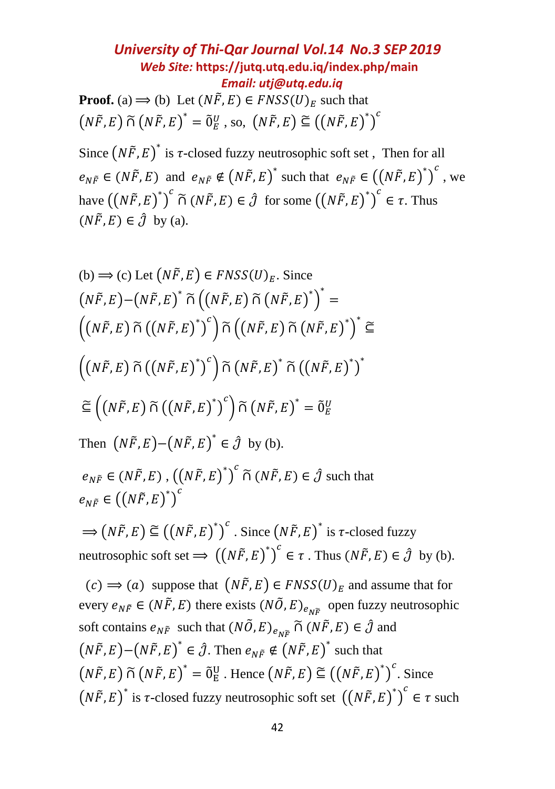*University of Thi-Qar Journal Vol.14 No.3 SEP 2019 Web Site:* **<https://jutq.utq.edu.iq/index.php/main>**  *Email: utj@utq.edu.iq* **Proof.** (a)  $\implies$  (b) Let  $(N\tilde{F}, E) \in FNSS(U)_F$  such that  $(N\tilde{F}, E) \widetilde{\cap} (N\tilde{F}, E)^* = \widetilde{0}^U_E$ , so,  $(N\tilde{F}, E) \widetilde{\subseteq} ((N\tilde{F}, E)^*)^C$ 

Since  $(N\tilde{F}, E)^*$  is  $\tau$ -closed fuzzy neutrosophic soft set, Then for all  $e_{N\tilde{F}} \in (N\tilde{F}, E)$  and  $e_{N\tilde{F}} \notin (N\tilde{F}, E)^*$  such that  $e_{N\tilde{F}} \in ((N\tilde{F}, E)^*)^c$ , we have  $((N\tilde{F}, E)^*)^c \tilde{\cap} (N\tilde{F}, E) \in \hat{\mathcal{J}}$  for some  $((N\tilde{F}, E)^*)^c \in \tau$ . Thus  $(N\tilde{F}, E) \in \hat{\mathcal{J}}$  by (a).

(b) 
$$
\Rightarrow
$$
 (c) Let  $(N\tilde{F}, E) \in FNSS(U)_E$ . Since  
\n $(N\tilde{F}, E) - (N\tilde{F}, E)^* \tilde{\cap} ((N\tilde{F}, E) \tilde{\cap} (N\tilde{F}, E)^*)^* =$ \n $((N\tilde{F}, E) \tilde{\cap} ((N\tilde{F}, E)^*)^c) \tilde{\cap} ((N\tilde{F}, E) \tilde{\cap} (N\tilde{F}, E)^*)^* \tilde{\subseteq}$ \n $((N\tilde{F}, E) \tilde{\cap} ((N\tilde{F}, E)^*)^c) \tilde{\cap} (N\tilde{F}, E)^* \tilde{\cap} ((N\tilde{F}, E)^*)^*$ \n $\leq ((N\tilde{F}, E) \tilde{\cap} ((N\tilde{F}, E)^*)^c) \tilde{\cap} (N\tilde{F}, E)^* = \tilde{0}_E^U$ 

Then  $(N\tilde{F}, E) - (N\tilde{F}, E)^* \in \hat{\mathcal{J}}$  by (b).

 $e_{N\tilde{F}} \in (N\tilde{F}, E)$ ,  $((N\tilde{F}, E)^*)^c$   $\tilde{\cap}$   $(N\tilde{F}, E) \in \hat{\mathcal{J}}$  such that  $e_{N\tilde{F}}\in \left(\left(N\tilde{F},E\right)^{*}\right)^{c}$ 

 $\Rightarrow (N\tilde{F}, E) \cong ((N\tilde{F}, E)^*)^c$ . Since  $(N\tilde{F}, E)^*$  is  $\tau$ -closed fuzzy neutrosophic soft set  $\Longrightarrow ((N\tilde{F}, E)^*)^c \in \tau$ . Thus  $(N\tilde{F}, E) \in \hat{\mathcal{J}}$  by (b).

 $(c) \implies (a)$  suppose that  $(N\tilde{F}, E) \in F NSS(U)_E$  and assume that for every  $e_{N\tilde{F}} \in (N\tilde{F}, E)$  there exists  $(N\tilde{O}, E)_{e_{N\tilde{F}}}$  open fuzzy neutrosophic soft contains  $e_{N\tilde{F}}$  such that  $(N\tilde{O}, E)_{e_{N\tilde{F}}} \tilde{\cap} (N\tilde{F}, E) \in \hat{\mathcal{J}}$  and  $(N\tilde{F}, E) - (N\tilde{F}, E)^* \in \hat{\mathcal{J}}$ . Then  $e_{N\tilde{F}} \notin (N\tilde{F}, E)^*$  such that  $(N\tilde{F}, E) \tilde{\cap} (N\tilde{F}, E)^* = \tilde{0}^U_E$ . Hence  $(N\tilde{F}, E) \tilde{\subseteq} ((N\tilde{F}, E)^*)^c$ . Since  $(N\tilde{F}, E)^*$  is  $\tau$ -closed fuzzy neutrosophic soft set  $((N\tilde{F}, E)^*)^c \in \tau$  such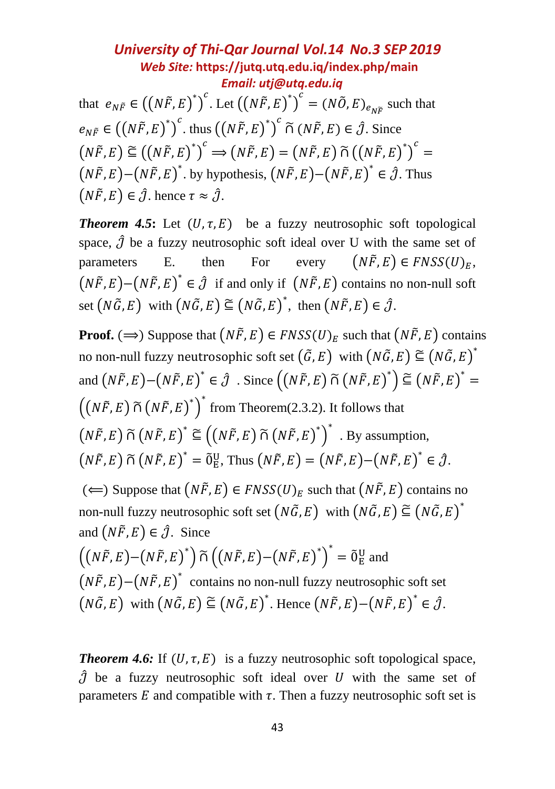that  $e_{N\tilde{F}} \in \left(\left(N\tilde{F}, E\right)^*\right)^c$ . Let  $\left(\left(N\tilde{F}, E\right)^*\right)^c = \left(N\tilde{O}, E\right)_{e_{N\tilde{F}}}$  such that  $e_{N\tilde{F}} \in ((N\tilde{F}, E)^*)^c$ . thus  $((N\tilde{F}, E)^*)^c \tilde{\cap} (N\tilde{F}, E) \in \hat{\mathcal{J}}$ . Since  $(N\tilde{F}, E) \cong ((N\tilde{F}, E)^*)^c \Longrightarrow (N\tilde{F}, E) = (N\tilde{F}, E) \tilde{\cap} ((N\tilde{F}, E)^*)^c =$  $(N\tilde{F}, E)$  - $(N\tilde{F}, E)^*$ . by hypothesis,  $(N\tilde{F}, E)$  - $(N\tilde{F}, E)^* \in \hat{\mathcal{J}}$ . Thus  $(N\tilde{F}, E) \in \hat{\mathcal{J}}$ . hence  $\tau \approx \hat{\mathcal{J}}$ .

*Theorem 4.5*: Let  $(U, \tau, E)$  be a fuzzy neutrosophic soft topological space,  $\hat{J}$  be a fuzzy neutrosophic soft ideal over U with the same set of parameters E. then For every  $(N\tilde{F}, E) \in F NSS(U)_{F}$ ,  $(N\tilde{F}, E) - (N\tilde{F}, E)^* \in \hat{\mathcal{J}}$  if and only if  $(N\tilde{F}, E)$  contains no non-null soft set  $(N\tilde{G}, E)$  with  $(N\tilde{G}, E) \subseteq (N\tilde{G}, E)^*$ , then  $(N\tilde{F}, E) \in \hat{\mathcal{J}}$ .

**Proof.** ( $\implies$ ) Suppose that  $(N\tilde{F}, E) \in FNSS(U)_F$  such that  $(N\tilde{F}, E)$  contains no non-null fuzzy neutrosophic soft set  $\big(\,\widetilde{G},E\,\big)$  with  $\big(N\tilde{G},E\,\big)\,\widetilde{\subseteq}\,\big(N\tilde{G},E\,\big)^*$ and  $(N\tilde{F}, E) - (N\tilde{F}, E)^* \in \hat{\jmath}$ . Since  $((N\tilde{F}, E) \tilde{\cap} (N\tilde{F}, E)^*) \tilde{\subseteq} (N\tilde{F}, E)^* =$  $((N\tilde{F}, E) \tilde{\cap} (N\tilde{F}, E)^*)^*$  from Theorem(2.3.2). It follows that  $(N\tilde{F}, E) \tilde{\cap} (N\tilde{F}, E)^* \cong ((N\tilde{F}, E) \tilde{\cap} (N\tilde{F}, E)^*)^*$ . By assumption,  $(N\tilde{F}, E) \tilde{\cap} (N\tilde{F}, E)^* = \tilde{0}_E^U$ , Thus  $(N\tilde{F}, E) = (N\tilde{F}, E) - (N\tilde{F}, E)^* \in \hat{\mathcal{J}}$ . (←) Suppose that  $(N\tilde{F}, E)$  ∈  $FNSS(U)<sub>E</sub>$  such that  $(N\tilde{F}, E)$  contains no non-null fuzzy neutrosophic soft set  $(N\tilde{G}, E)$  with  $(N\tilde{G}, E) \subseteq (N\tilde{G}, E)^*$ and  $(N\tilde{F}, E) \in \hat{\mathcal{J}}$ . Since  $((N\tilde{F}, E) - (N\tilde{F}, E)^*) \tilde{\cap} ((N\tilde{F}, E) - (N\tilde{F}, E)^*)^* = \tilde{0}^U_E$  and  $(N\tilde{F}, E) - (N\tilde{F}, E)^*$  contains no non-null fuzzy neutrosophic soft set  $(N\tilde{G}, E)$  with  $(N\tilde{G}, E) \subseteq (N\tilde{G}, E)^*$ . Hence  $(N\tilde{F}, E) - (N\tilde{F}, E)^* \in \hat{\mathcal{J}}$ .

**Theorem 4.6:** If  $(U, \tau, E)$  is a fuzzy neutrosophic soft topological space,  $\hat{J}$  be a fuzzy neutrosophic soft ideal over U with the same set of parameters  $E$  and compatible with  $\tau$ . Then a fuzzy neutrosophic soft set is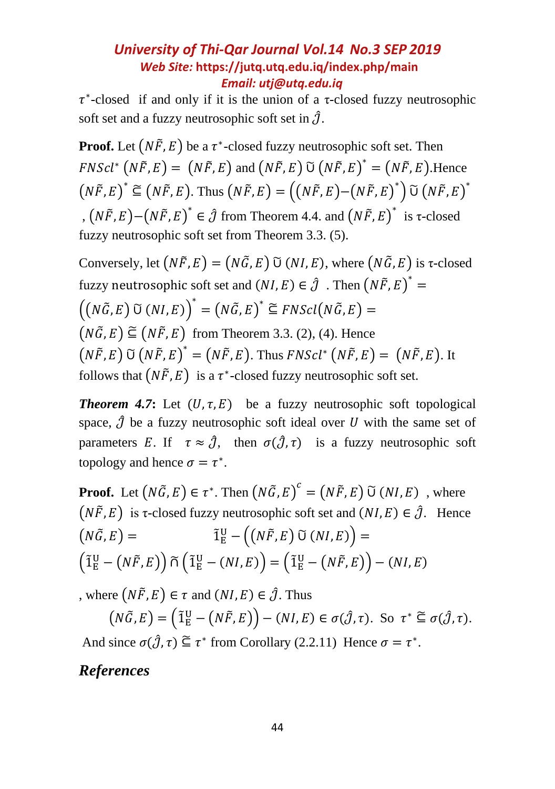∗ -closed if and only if it is the union of a τ-closed fuzzy neutrosophic soft set and a fuzzy neutrosophic soft set in  $\hat{J}$ .

**Proof.** Let  $(N\tilde{F}, E)$  be a  $\tau^*$ -closed fuzzy neutrosophic soft set. Then  $FNScl^* (N\tilde{F}, E) = (N\tilde{F}, E)$  and  $(N\tilde{F}, E)$   $\tilde{U} (N\tilde{F}, E)^* = (N\tilde{F}, E)$ . Hence  $(N\tilde{F}, E)^* \subseteq (N\tilde{F}, E)$ . Thus  $(N\tilde{F}, E) = ((N\tilde{F}, E) - (N\tilde{F}, E)^*) \widetilde{\cup} (N\tilde{F}, E)^*$ ,  $(N\tilde{F}, E)$  −  $(N\tilde{F}, E)^*$  ∈  $\hat{J}$  from Theorem 4.4. and  $(N\tilde{F}, E)^*$  is τ-closed fuzzy neutrosophic soft set from Theorem 3.3. (5).

Conversely, let  $(N\tilde{F}, E) = (N\tilde{G}, E)$   $\tilde{U}(NI, E)$ , where  $(N\tilde{G}, E)$  is  $\tau$ -closed fuzzy neutrosophic soft set and  $(NI, E) \in \hat{\mathcal{J}}$  . Then  $(N\tilde{F}, E)^* =$  $((N\tilde{G}, E) \tilde{U}(NI, E))^{*} = (N\tilde{G}, E)^{*} \subseteq FNScl(N\tilde{G}, E) =$  $(N\tilde{G}, E) \subseteq (N\tilde{F}, E)$  from Theorem 3.3. (2), (4). Hence  $(N\tilde{F}, E)$   $\tilde{U}$   $(N\tilde{F}, E)^* = (N\tilde{F}, E)$ . Thus  $FNScl^*$   $(N\tilde{F}, E) = (N\tilde{F}, E)$ . It follows that  $(N\tilde{F}, E)$  is a  $\tau^*$ -closed fuzzy neutrosophic soft set.

*Theorem 4.7*: Let  $(U, \tau, E)$  be a fuzzy neutrosophic soft topological space,  $\hat{J}$  be a fuzzy neutrosophic soft ideal over U with the same set of parameters E. If  $\tau \approx \hat{\mathcal{J}}$ , then  $\sigma(\hat{\mathcal{J}}, \tau)$  is a fuzzy neutrosophic soft topology and hence  $\sigma = \tau^*$ .

**Proof.** Let  $(N\tilde{G}, E) \in \tau^*$ . Then  $(N\tilde{G}, E)^c = (N\tilde{F}, E)$   $\tilde{U}(NI, E)$ , where  $(N\tilde{F}, E)$  is *τ*-closed fuzzy neutrosophic soft set and  $(NI, E) \in \hat{J}$ . Hence  $(N\tilde{G}, E) =$  $E_{\text{E}}^{\text{U}} - ((N\tilde{F}, E) \ \tilde{\text{U}} \ (N I, E)) = 0$  $\left(\tilde{1}^{\text{U}}_{\text{E}} - \left(N\tilde{F}, E\right)\right) \widetilde{\cap} \left(\tilde{1}^{\text{U}}_{\text{E}} - \left(NI, E\right)\right) = \left(\tilde{1}^{\text{U}}_{\text{E}} - \left(N\tilde{F}, E\right)\right) - \left(NI, E\right)$ 

, where  $(N\tilde{F}, E) \in \tau$  and  $(NI, E) \in \hat{\mathcal{J}}$ . Thus

$$
(N\tilde{G}, E) = (\tilde{1}_E^U - (N\tilde{F}, E)) - (NI, E) \in \sigma(\hat{J}, \tau). \text{ So } \tau^* \subseteq \sigma(\hat{J}, \tau).
$$

And since  $\sigma(\hat{\mathcal{J}}, \tau) \subseteq \tau^*$  from Corollary (2.2.11) Hence  $\sigma = \tau^*$ .

*References*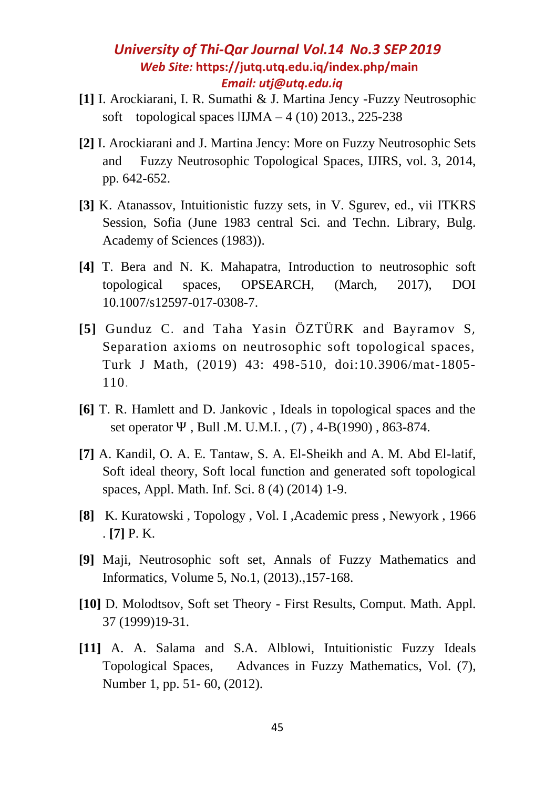- **[1]** I. Arockiarani, I. R. Sumathi & J. Martina Jency -Fuzzy Neutrosophic soft topological spaces  $\text{IIJMA} - 4$  (10) 2013., 225-238
- **[2]** I. Arockiarani and J. Martina Jency: More on Fuzzy Neutrosophic Sets and Fuzzy Neutrosophic Topological Spaces, IJIRS, vol. 3, 2014, pp. 642-652.
- **[3]** K. Atanassov, Intuitionistic fuzzy sets, in V. Sgurev, ed., vii ITKRS Session, Sofia (June 1983 central Sci. and Techn. Library, Bulg. Academy of Sciences (1983)).
- **[4]** T. Bera and N. K. Mahapatra, Introduction to neutrosophic soft topological spaces, OPSEARCH, (March, 2017), DOI 10.1007/s12597-017-0308-7.
- **[5]** Gunduz C. and Taha Yasin ÖZTÜRK and Bayramov S, Separation axioms on neutrosophic soft topological spaces, Turk J Math, (2019) 43: 498-510, doi:10.3906/mat-1805- 110.
- **[6]** T. R. Hamlett and D. Jankovic , Ideals in topological spaces and the set operator Ψ , Bull .M. U.M.I. , (7) , 4-B(1990) , 863-874.
- **[7]** A. Kandil, O. A. E. Tantaw, S. A. El-Sheikh and A. M. Abd El-latif, Soft ideal theory, Soft local function and generated soft topological spaces, Appl. Math. Inf. Sci. 8 (4) (2014) 1-9.
- **[8]** K. Kuratowski , Topology , Vol. I ,Academic press , Newyork , 1966 . **[7]** P. K.
- **[9]** Maji, Neutrosophic soft set, Annals of Fuzzy Mathematics and Informatics, Volume 5, No.1, (2013).,157-168.
- **[10]** D. Molodtsov, Soft set Theory First Results, Comput. Math. Appl. 37 (1999)19-31.
- **[11]** A. A. Salama and S.A. Alblowi, Intuitionistic Fuzzy Ideals Topological Spaces, Advances in Fuzzy Mathematics, Vol. (7), Number 1, pp. 51- 60, (2012).